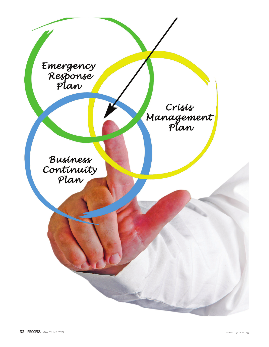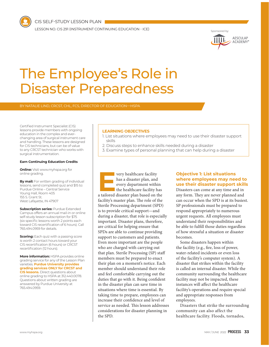CIS SELF-STUDY LESSON PLAN

LESSON NO. CIS 291 (INSTRUMENT CONTINUING EDUCATION - ICE)



# The Employee's Role in Disaster Preparedness

Certified Instrument Specialist (CIS) lessons provide members with ongoing education in the complex and everchanging area of surgical instrument care and handling. These lessons are designed for CIS technicians, but can be of value to any CRCST technician who works with surgical instrumentation.

#### **Earn Continuing Education Credits**

**Online:** Visit www.myhspa.org for online grading.

**By mail:** For written grading of individual lessons, send completed quiz and \$15 to: Purdue Online – Central Service Young Hall, Room 405 155 S. Grant St. West Lafayette, IN 47907

**Subscription series: Purdue Extended** Campus offers an annual mail-in or online self-study lesson subscription for \$75 (six specific lessons worth 2 points each toward CIS recertification of 6 hours). Call 765.494.0959 for details.

**Scoring:** Each quiz with a passing score is worth 2 contact hours toward your CIS recertification (6 hours) or CRCST recertification (12 hours).

**More information:** HSPA provides online grading service for any of the Lesson Plan varieties. **Purdue University provides grading services ONLY for CRCST and CIS lessons.** Direct questions about online grading to HSPA at 312.440.0078. Questions about written grading are answered by Purdue University at 765.494.0959.

#### **LEARNING OBJECTIVES**

- 1. List situations where employees may need to use their disaster support skills
- 2. Discuss steps to enhance skills needed during a disaster
- 3. Examine types of personal planning that can help during a disaster

**EVERTUAN SET ASSEMBED ASSEMBED AND FORGET AND FORGET AND THE REAL AND THE REAL AND THE REAL AND THE REAL AND THE REAL AND THE REAL AND THE REAL AND THE REAL AND THE REAL AND THE REAL AND THE REAL AND THE REAL AND THE REAL** has a disaster plan, and every department within the healthcare facility has facility's master plan. The role of the Sterile Processing department (SPD) is to provide critical support—and during a disaster, that role is especially important. Disaster plans, therefore, are critical for helping ensure that SPDs are able to continue providing support to customers and patients. Even more important are the people who are charged with carrying out that plan. Sterile Processing (SP) staff members must be prepared to enact their plan on a moment's notice. Each member should understand their role and feel comfortable carrying out the duties that go with it. Being confident in the disaster plan can save time in situations where time is essential. By taking time to prepare, employees can increase their confidence and level of service as needed. This lesson addresses considerations for disaster planning in the SPD.

# **Objective 1: List situations where employees may need to use their disaster support skills**

Disasters can come at any time and in any form. They are never planned and can occur when the SPD is at its busiest. SP professionals must be prepared to respond appropriately to numerous urgent requests. All employees must understand their responsibilities and be able to fulfill those duties regardless of how stressful a situation or disaster becomes.

Some disasters happen within the facility (e.g., fire, loss of power, water-related incidents or even loss of the facility's computer system). A disaster that strikes within the facility is called an internal disaster. While the community surrounding the healthcare facility may not be impacted, these instances will affect the healthcare facility's operations and require special and appropriate responses from employees.

Disasters that strike the surrounding community can also affect the healthcare facility. Floods, tornados,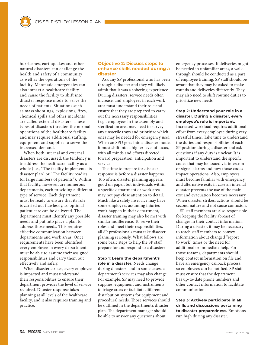hurricanes, earthquakes and other natural disasters can challenge the health and safety of a community as well as the operations of the facility. Manmade emergencies can also impact a healthcare facility and cause the facility to shift into disaster response mode to serve the needs of patients. Situations such as mass shootings, explosions, fires, chemical spills and other incidents are called external disasters. These types of disasters threaten the normal operations of the healthcare facility and may require additional staffing, equipment and supplies to serve the increased demand.

When both internal and external disasters are discussed, the tendency is to address the healthcare facility as a whole (i.e., "The facility implements its disaster plan" or "The facility readies for large numbers of patients"). Within that facility, however, are numerous departments, each providing a different type of service. Each department must be ready to ensure that its role is carried out flawlessly, so optimal patient care can be delivered. The department must identify any possible needs and put into place a plan to address those needs. This requires effective communication between departments and work areas. Once requirements have been identified, every employee in every department must be able to assume their assigned responsibilities and carry them out effectively and safely.

When disaster strikes, every employee is impacted and must understand their responsibilities to ensure their department provides the level of service required. Disaster response takes planning at all levels of the healthcare facility, and it also requires training and practice.

## **Objective 2: Discuss steps to enhance skills needed during a disaster**

Ask any SP professional who has been through a disaster and they will likely admit that it was a sobering experience. During disasters, service needs often increase, and employees in each work area must understand their role and ensure that they are prepared to carry out the necessary responsibilities (e.g., employees in the assembly and sterilization area may need to survey any unsterile trays and prioritize which ones may be needed for emergency use). When an SPD goes into a disaster mode, it must shift into a higher level of focus, with all minds and efforts directed toward preparation, anticipation and service.

The time to prepare for disaster response is before a disaster happens. Too often, disaster planning appears good on paper, but individuals within a specific department or work area may not pay close attention to detail. Much like a safety inservice may have some employees assuming injuries won't happen in their department, disaster training may also be met with similar indifference. To serve their roles and meet their responsibilities, all SP professionals must take disaster planning seriously. What follows are some basic steps to help the SP staff prepare for and respond to a disaster:

**Step 1: Learn the department's role in a disaster.** Needs change during disasters, and in some cases, a department's services may also change. For example, SP may need to provide supplies, equipment and instruments to triage areas or facilitate different distribution systems for equipment and procedural needs. Those services should be outlined in the department's disaster plan. The department manager should be able to answer any questions about

emergency processes. If deliveries might be needed in unfamiliar areas, a walkthrough should be conducted as a part of employee training. SP staff should be aware that they may be asked to make rounds and deliveries differently. They may also need to shift routine duties to prioritize new needs.

## **Step 2: Understand your role in a disaster. During a disaster, every employee's role is important.**

Increased workload requires additional effort from every employee during very stressful times. Take time to understand the duties and responsibilities of each SP position during a disaster and ask questions if any duty is unclear. It is important to understand the specific codes that may be issued via intercom or signal alarms and how those codes impact operations. Also, employees must become familiar with emergency and alternative exits in case an internal disaster prevents the use of the main exit and evacuation becomes necessary. When disaster strikes, actions should be second nature and not cause confusion.

SP staff members are also responsible for keeping the facility abreast of changes in their contact information. During a disaster, it may be necessary to reach staff members to convey information about changed "report to work" times or the need for additional or immediate help. For those reasons, departments should keep contact information on file and have an emergency callback process, so employees can be notified. SP staff must ensure that the department has up-to-date phone numbers and other contact information to facilitate communication.

**Step 3: Actively participate in all drills and discussions pertaining to disaster preparedness.** Emotions run high during any disaster.